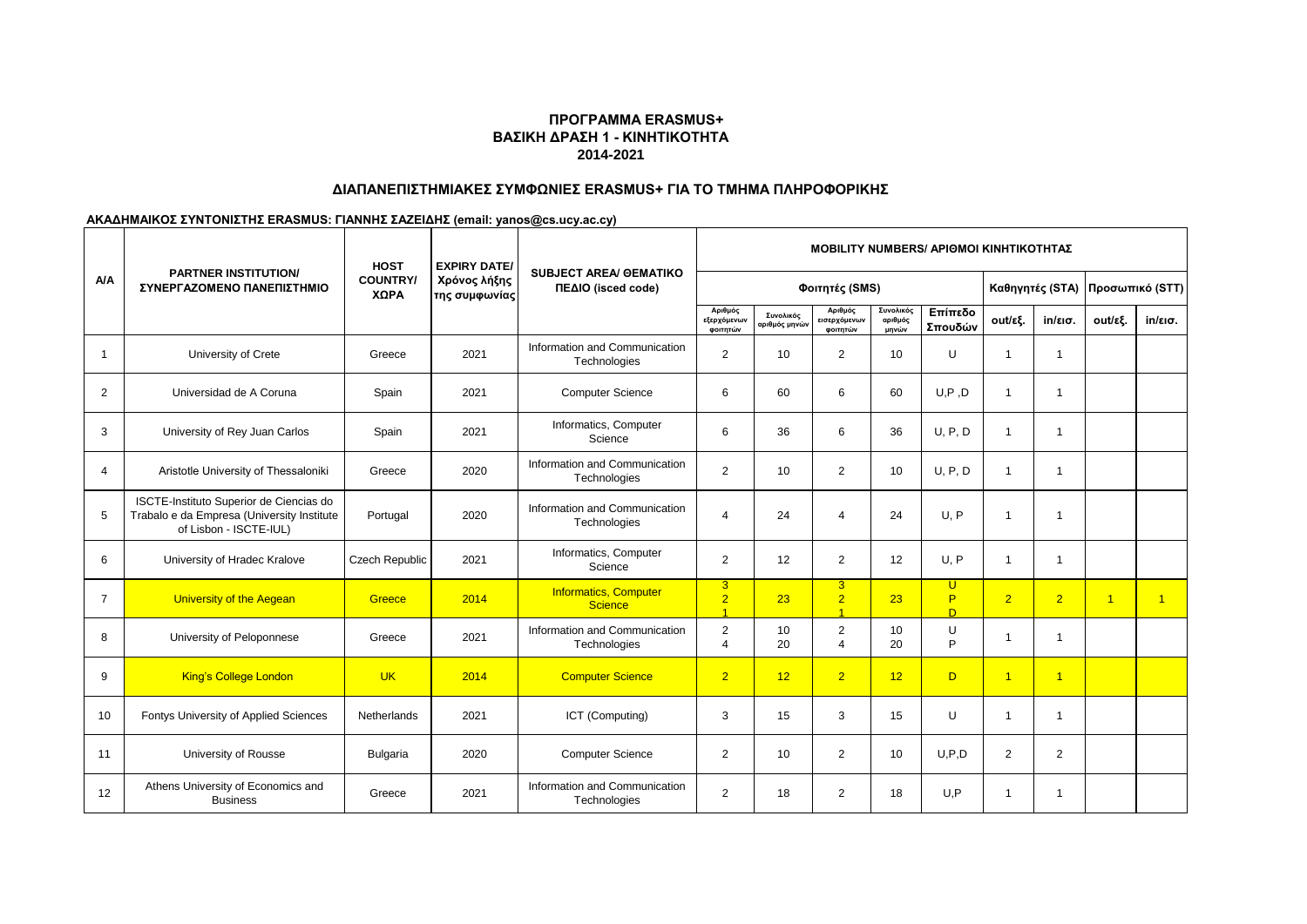# **ΔΙΑΠΑΝΕΠΙΣΤΗΜΙΑΚΕΣ ΣΥΜΦΩΝΙΕΣ ERASMUS+ ΓΙΑ ΤΟ ΤΜΗΜΑ ΠΛΗΡΟΦΟΡΙΚΗΣ**

|                | <b>PARTNER INSTITUTION/</b>                                                                                     | <b>HOST</b>             | <b>EXPIRY DATE/</b>           | <b>SUBJECT AREA/ GEMATIKO</b>                  | <b>MOBILITY NUMBERS/ APIOMOI KINHTIKOTHTAZ</b> |                            |                                                    |                               |                    |                |                   |                 |                   |  |
|----------------|-----------------------------------------------------------------------------------------------------------------|-------------------------|-------------------------------|------------------------------------------------|------------------------------------------------|----------------------------|----------------------------------------------------|-------------------------------|--------------------|----------------|-------------------|-----------------|-------------------|--|
| A/A            | ΣΥΝΕΡΓΑΖΟΜΕΝΟ ΠΑΝΕΠΙΣΤΗΜΙΟ                                                                                      | <b>COUNTRY/</b><br>ΧΩΡΑ | Χρόνος λήξης<br>της συμφωνίας | ΠΕΔΙΟ (isced code)                             |                                                |                            | Φοιτητές (SMS)                                     |                               |                    |                | Καθηγητές (STA)   | Προσωπικό (STT) |                   |  |
|                |                                                                                                                 |                         |                               |                                                | Αριθμός<br>εξερχόμενων<br>φοιτητών             | Συνολικός<br>αριθμός μηνών | Αριθμός<br>εισερχόμενων<br>φοιτητών                | Συνολικός<br>αριθμός<br>μηνών | Επίπεδο<br>Σπουδών | out/εξ.        | $in/\epsilon$ ισ. | out/εξ.         | $in/\epsilon$ ισ. |  |
| $\mathbf 1$    | University of Crete                                                                                             | Greece                  | 2021                          | Information and Communication<br>Technologies  | 2                                              | 10                         | $\overline{2}$                                     | 10                            | U                  | 1              | $\mathbf{1}$      |                 |                   |  |
| 2              | Universidad de A Coruna                                                                                         | Spain                   | 2021                          | <b>Computer Science</b>                        | 6                                              | 60                         | 6                                                  | 60                            | U, P, D            | -1             | 1                 |                 |                   |  |
| 3              | University of Rey Juan Carlos                                                                                   | Spain                   | 2021                          | Informatics, Computer<br>Science               | 6                                              | 36                         | 6                                                  | 36                            | U, P, D            | $\mathbf 1$    | 1                 |                 |                   |  |
| $\overline{4}$ | Aristotle University of Thessaloniki                                                                            | Greece                  | 2020                          | Information and Communication<br>Technologies  | 2                                              | 10                         | $\overline{2}$                                     | 10                            | U. P. D            | $\mathbf{1}$   | $\mathbf{1}$      |                 |                   |  |
| 5              | ISCTE-Instituto Superior de Ciencias do<br>Trabalo e da Empresa (University Institute<br>of Lisbon - ISCTE-IUL) | Portugal                | 2020                          | Information and Communication<br>Technologies  | $\overline{4}$                                 | 24                         | 4                                                  | 24                            | U.P                | 1              | 1                 |                 |                   |  |
| 6              | University of Hradec Kralove                                                                                    | <b>Czech Republic</b>   | 2021                          | Informatics, Computer<br>Science               | 2                                              | 12                         | $\overline{2}$                                     | 12                            | U.P                | 1              | 1                 |                 |                   |  |
| $\overline{7}$ | <b>University of the Aegean</b>                                                                                 | Greece                  | 2014                          | <b>Informatics, Computer</b><br><b>Science</b> | 3 <sup>2</sup><br>$\overline{2}$               | 23                         | 3 <sup>1</sup><br>$\overline{2}$<br>$\overline{A}$ | 23                            | U<br>P<br>D.       | $\overline{2}$ | $\overline{2}$    | $\overline{1}$  | $\overline{1}$    |  |
| 8              | University of Peloponnese                                                                                       | Greece                  | 2021                          | Information and Communication<br>Technologies  | $\overline{2}$<br>$\boldsymbol{\Delta}$        | 10<br>20                   | $\overline{2}$<br>$\overline{4}$                   | 10<br>20                      | U<br>P             | -1             | 1                 |                 |                   |  |
| 9              | <b>King's College London</b>                                                                                    | <b>UK</b>               | 2014                          | <b>Computer Science</b>                        | $\overline{2}$                                 | 12                         | $\overline{2}$                                     | 12                            | D                  | $\overline{1}$ | $\overline{1}$    |                 |                   |  |
| 10             | Fontys University of Applied Sciences                                                                           | <b>Netherlands</b>      | 2021                          | ICT (Computing)                                | 3                                              | 15                         | 3                                                  | 15                            | U                  | -1             | 1                 |                 |                   |  |
| 11             | University of Rousse                                                                                            | <b>Bulgaria</b>         | 2020                          | <b>Computer Science</b>                        | 2                                              | 10                         | $\overline{2}$                                     | 10                            | U.P.D              | $\overline{2}$ | 2                 |                 |                   |  |
| 12             | Athens University of Economics and<br><b>Business</b>                                                           | Greece                  | 2021                          | Information and Communication<br>Technologies  | $\overline{2}$                                 | 18                         | $\overline{2}$                                     | 18                            | U.P                | -1             | 1                 |                 |                   |  |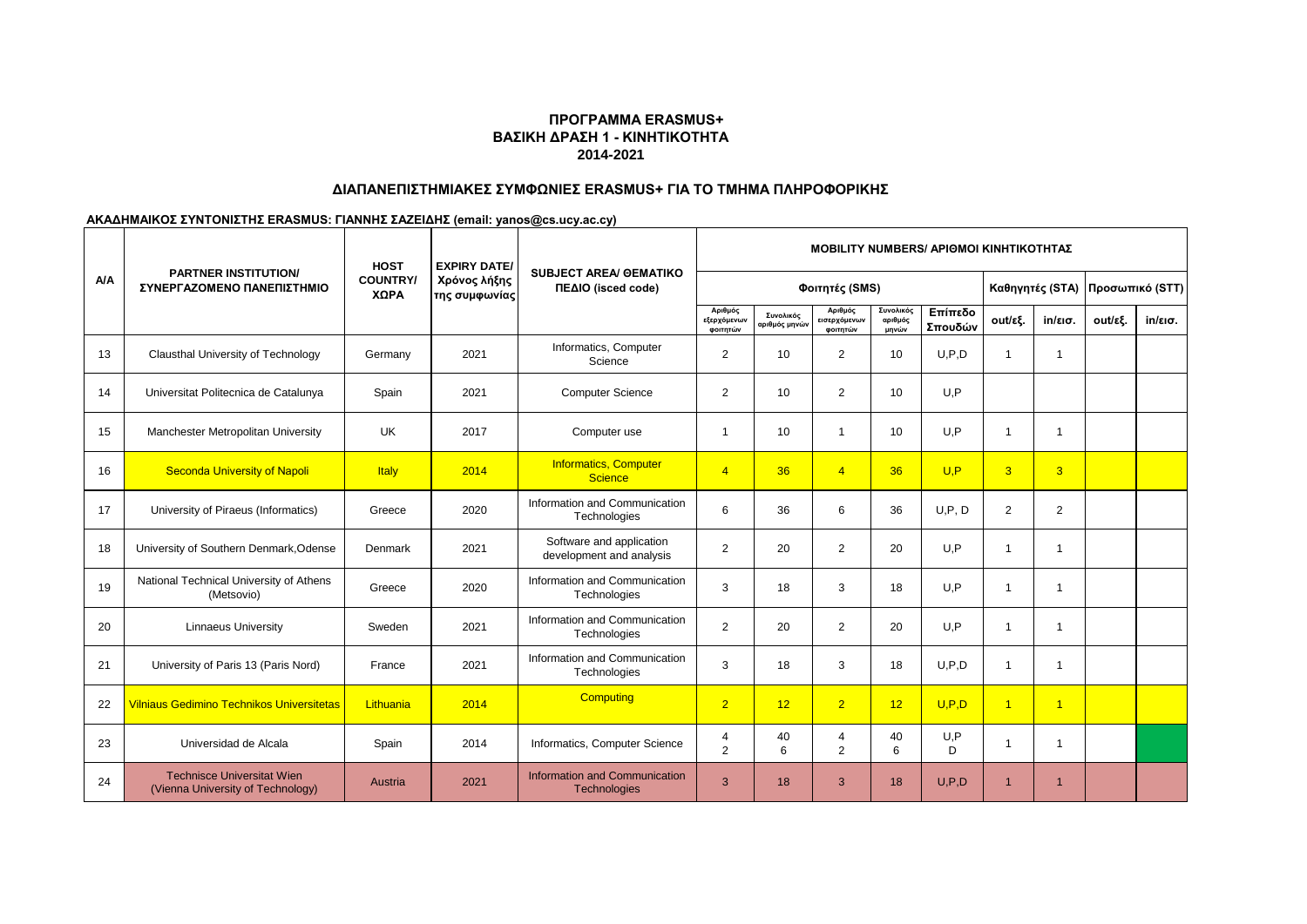# **ΔΙΑΠΑΝΕΠΙΣΤΗΜΙΑΚΕΣ ΣΥΜΦΩΝΙΕΣ ERASMUS+ ΓΙΑ ΤΟ ΤΜΗΜΑ ΠΛΗΡΟΦΟΡΙΚΗΣ**

|     |                                                                        | <b>HOST</b><br><b>EXPIRY DATE/</b><br><b>PARTNER INSTITUTION/</b> |                               |                                                      | <b>MOBILITY NUMBERS/ APIOMOI KINHTIKOTHTAZ</b> |                                          |                                     |                               |                    |                 |                      |                 |                   |  |
|-----|------------------------------------------------------------------------|-------------------------------------------------------------------|-------------------------------|------------------------------------------------------|------------------------------------------------|------------------------------------------|-------------------------------------|-------------------------------|--------------------|-----------------|----------------------|-----------------|-------------------|--|
| A/A | ΣΥΝΕΡΓΑΖΟΜΕΝΟ ΠΑΝΕΠΙΣΤΗΜΙΟ                                             | <b>COUNTRY/</b><br>ΧΩΡΑ                                           | Χρόνος λήξης<br>της συμφωνίας | <b>SUBJECT AREA/ GEMATIKO</b><br>ΠΕΔΙΟ (isced code)  |                                                |                                          | Φοιτητές (SMS)                      |                               |                    | Καθηγητές (STA) |                      | Προσωπικό (STT) |                   |  |
|     |                                                                        |                                                                   |                               |                                                      | Αριθμός<br>εξερχόμενων<br>φοιτητών             | Συνολικός<br>αριθμός μηνώ <mark>ν</mark> | Αριθμός<br>εισερχόμενων<br>φοιτητών | Συνολικός<br>αριθμός<br>μηνών | Επίπεδο<br>Σπουδών | out/εξ.         | in/εισ.              | out/εξ.         | $in/\epsilon$ ισ. |  |
| 13  | Clausthal University of Technology                                     | Germany                                                           | 2021                          | Informatics, Computer<br>Science                     | 2                                              | 10                                       | 2                                   | 10                            | U.P.D              | 1               | $\mathbf{1}$         |                 |                   |  |
| 14  | Universitat Politecnica de Catalunya                                   | Spain                                                             | 2021                          | <b>Computer Science</b>                              | 2                                              | 10                                       | 2                                   | 10                            | U.P                |                 |                      |                 |                   |  |
| 15  | Manchester Metropolitan University                                     | UK                                                                | 2017                          | Computer use                                         | -1                                             | 10                                       | -1                                  | 10                            | U, P               | 1               | 1                    |                 |                   |  |
| 16  | <b>Seconda University of Napoli</b>                                    | <b>Italy</b>                                                      | 2014                          | <b>Informatics, Computer</b><br>Science              | $\overline{4}$                                 | 36                                       | $\overline{4}$                      | 36                            | U.P                | $\overline{3}$  | 3                    |                 |                   |  |
| 17  | University of Piraeus (Informatics)                                    | Greece                                                            | 2020                          | Information and Communication<br>Technologies        | 6                                              | 36                                       | 6                                   | 36                            | U.P.D              | $\overline{2}$  | 2                    |                 |                   |  |
| 18  | University of Southern Denmark, Odense                                 | Denmark                                                           | 2021                          | Software and application<br>development and analysis | 2                                              | 20                                       | 2                                   | 20                            | U.P                | 1               | 1                    |                 |                   |  |
| 19  | National Technical University of Athens<br>(Metsovio)                  | Greece                                                            | 2020                          | Information and Communication<br>Technologies        | 3                                              | 18                                       | 3                                   | 18                            | U.P                | 1               | 1                    |                 |                   |  |
| 20  | <b>Linnaeus University</b>                                             | Sweden                                                            | 2021                          | Information and Communication<br>Technologies        | 2                                              | 20                                       | 2                                   | 20                            | U, P               | 1               | 1                    |                 |                   |  |
| 21  | University of Paris 13 (Paris Nord)                                    | France                                                            | 2021                          | Information and Communication<br>Technologies        | 3                                              | 18                                       | 3                                   | 18                            | U.P.D              | $\mathbf{1}$    | $\mathbf{1}$         |                 |                   |  |
| 22  | <b>Vilniaus Gedimino Technikos Universitetas</b>                       | Lithuania                                                         | 2014                          | <b>Computing</b>                                     | $\overline{2}$                                 | 12                                       | $\overline{2}$                      | 12                            | U.P.D              | $\overline{1}$  | $\overline{1}$       |                 |                   |  |
| 23  | Universidad de Alcala                                                  | Spain                                                             | 2014                          | Informatics, Computer Science                        | $\overline{4}$<br>$\overline{2}$               | 40<br>6                                  | 4<br>2                              | 40<br>6                       | U.P<br>D.          | 1               | $\mathbf 1$          |                 |                   |  |
| 24  | <b>Technisce Universitat Wien</b><br>(Vienna University of Technology) | Austria                                                           | 2021                          | Information and Communication<br><b>Technologies</b> | 3                                              | 18                                       | 3                                   | 18                            | U, P, D            | $\overline{1}$  | $\blacktriangleleft$ |                 |                   |  |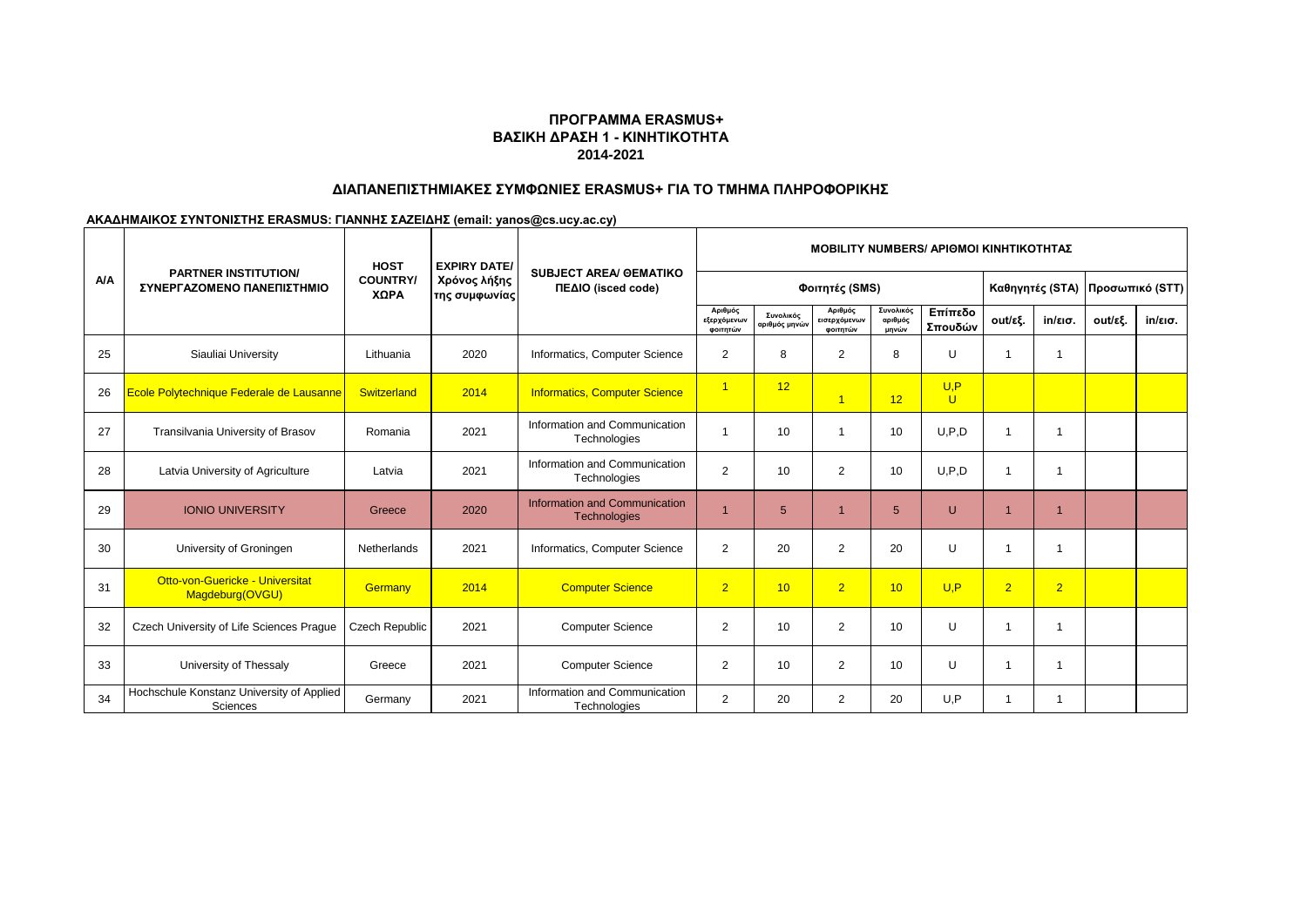# **ΔΙΑΠΑΝΕΠΙΣΤΗΜΙΑΚΕΣ ΣΥΜΦΩΝΙΕΣ ERASMUS+ ΓΙΑ ΤΟ ΤΜΗΜΑ ΠΛΗΡΟΦΟΡΙΚΗΣ**

|            |                                                           | <b>HOST</b>             | <b>EXPIRY DATE/</b>           |                                                     |                                    | <b>MOBILITY NUMBERS/ APIOMOI KINHTIKOTHTAZ</b> |                                     |                               |                    |                |                   |                                   |                   |
|------------|-----------------------------------------------------------|-------------------------|-------------------------------|-----------------------------------------------------|------------------------------------|------------------------------------------------|-------------------------------------|-------------------------------|--------------------|----------------|-------------------|-----------------------------------|-------------------|
| <b>A/A</b> | <b>PARTNER INSTITUTION/</b><br>ΣΥΝΕΡΓΑΖΟΜΕΝΟ ΠΑΝΕΠΙΣΤΗΜΙΟ | <b>COUNTRY/</b><br>ΧΩΡΑ | Χρόνος λήξης<br>της συμφωνίας | <b>SUBJECT AREA/ OEMATIKO</b><br>ΠΕΔΙΟ (isced code) |                                    |                                                | Φοιτητές (SMS)                      |                               |                    |                |                   | Καθηγητές (STA)   Προσωπικό (STT) |                   |
|            |                                                           |                         |                               |                                                     | Αριθμός<br>εξερχόμενων<br>φοιτητών | Συνολικός<br>αριθμός μηνών                     | Αριθμός<br>εισερχόμενων<br>φοιτητών | Συνολικός<br>αριθμός<br>μηνών | Επίπεδο<br>Σπουδών | out/εξ.        | $in/\epsilon$ ισ. | out/εξ.                           | $in/\epsilon$ ισ. |
| 25         | Siauliai University                                       | Lithuania               | 2020                          | Informatics, Computer Science                       | 2                                  | 8                                              | $\overline{2}$                      | 8                             | U                  |                |                   |                                   |                   |
| 26         | Ecole Polytechnique Federale de Lausanne                  | Switzerland             | 2014                          | <b>Informatics, Computer Science</b>                | $\overline{1}$                     | 12                                             | $\overline{1}$                      | 12                            | U.P<br>$\cup$      |                |                   |                                   |                   |
| 27         | Transilvania University of Brasov                         | Romania                 | 2021                          | Information and Communication<br>Technologies       |                                    | 10                                             | $\overline{\mathbf{1}}$             | 10                            | U.P.D              |                |                   |                                   |                   |
| 28         | Latvia University of Agriculture                          | Latvia                  | 2021                          | Information and Communication<br>Technologies       | 2                                  | 10                                             | 2                                   | 10                            | U.P.D              |                |                   |                                   |                   |
| 29         | <b>IONIO UNIVERSITY</b>                                   | Greece                  | 2020                          | Information and Communication<br>Technologies       |                                    | 5                                              |                                     | 5                             | U                  |                |                   |                                   |                   |
| 30         | University of Groningen                                   | <b>Netherlands</b>      | 2021                          | Informatics, Computer Science                       | $\overline{2}$                     | 20                                             | 2                                   | 20                            | U                  |                |                   |                                   |                   |
| 31         | Otto-von-Guericke - Universitat<br>Magdeburg(OVGU)        | Germany                 | 2014                          | <b>Computer Science</b>                             | $\overline{2}$                     | 10                                             | $\overline{2}$                      | 10                            | U.P                | $\overline{2}$ | 2 <sup>1</sup>    |                                   |                   |
| 32         | Czech University of Life Sciences Praque                  | Czech Republic          | 2021                          | <b>Computer Science</b>                             | $\mathbf{2}$                       | 10                                             | 2                                   | 10                            | $\cup$             |                |                   |                                   |                   |
| 33         | University of Thessaly                                    | Greece                  | 2021                          | <b>Computer Science</b>                             | 2                                  | 10                                             | 2                                   | 10                            | U                  |                |                   |                                   |                   |
| 34         | Hochschule Konstanz University of Applied<br>Sciences     | Germany                 | 2021                          | Information and Communication<br>Technologies       | 2                                  | 20                                             | 2                                   | 20                            | U, P               |                |                   |                                   |                   |